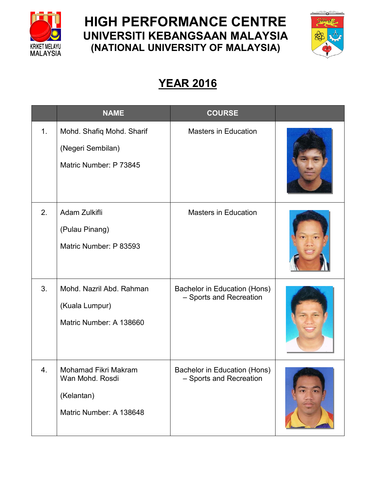

## **HIGH PERFORMANCE CENTRE UNIVERSITI KEBANGSAAN MALAYSIA (NATIONAL UNIVERSITY OF MALAYSIA)**



## **YEAR 2016**

|    | <b>NAME</b>                                                                      | <b>COURSE</b>                                           |  |
|----|----------------------------------------------------------------------------------|---------------------------------------------------------|--|
| 1. | Mohd. Shafiq Mohd. Sharif<br>(Negeri Sembilan)<br>Matric Number: P 73845         | <b>Masters in Education</b>                             |  |
| 2. | Adam Zulkifli<br>(Pulau Pinang)<br>Matric Number: P 83593                        | <b>Masters in Education</b>                             |  |
| 3. | Mohd. Nazril Abd. Rahman<br>(Kuala Lumpur)<br>Matric Number: A 138660            | Bachelor in Education (Hons)<br>- Sports and Recreation |  |
| 4. | Mohamad Fikri Makram<br>Wan Mohd. Rosdi<br>(Kelantan)<br>Matric Number: A 138648 | Bachelor in Education (Hons)<br>- Sports and Recreation |  |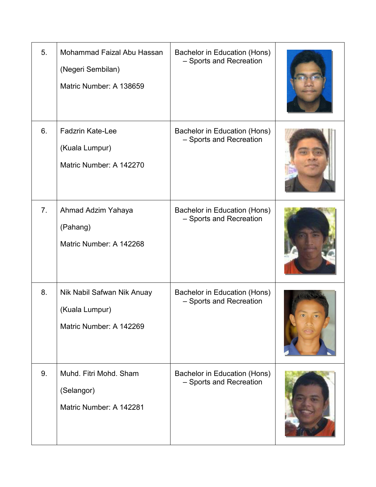| 5.             | Mohammad Faizal Abu Hassan<br>(Negeri Sembilan)<br>Matric Number: A 138659 | Bachelor in Education (Hons)<br>- Sports and Recreation |  |
|----------------|----------------------------------------------------------------------------|---------------------------------------------------------|--|
| 6.             | <b>Fadzrin Kate-Lee</b><br>(Kuala Lumpur)<br>Matric Number: A 142270       | Bachelor in Education (Hons)<br>- Sports and Recreation |  |
| 7 <sub>1</sub> | Ahmad Adzim Yahaya<br>(Pahang)<br>Matric Number: A 142268                  | Bachelor in Education (Hons)<br>- Sports and Recreation |  |
| 8.             | Nik Nabil Safwan Nik Anuay<br>(Kuala Lumpur)<br>Matric Number: A 142269    | Bachelor in Education (Hons)<br>- Sports and Recreation |  |
| 9.             | Muhd. Fitri Mohd. Sham<br>(Selangor)<br>Matric Number: A 142281            | Bachelor in Education (Hons)<br>- Sports and Recreation |  |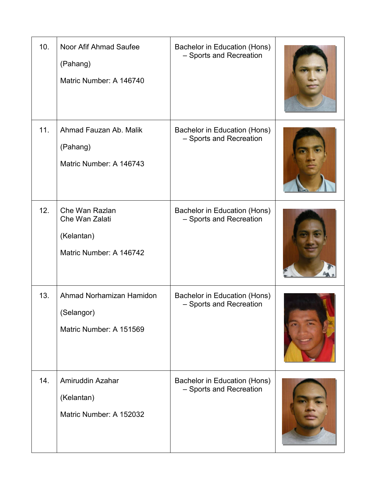| 10. | Noor Afif Ahmad Saufee<br>(Pahang)<br>Matric Number: A 146740             | Bachelor in Education (Hons)<br>- Sports and Recreation |  |
|-----|---------------------------------------------------------------------------|---------------------------------------------------------|--|
| 11. | Ahmad Fauzan Ab. Malik<br>(Pahang)<br>Matric Number: A 146743             | Bachelor in Education (Hons)<br>- Sports and Recreation |  |
| 12. | Che Wan Razlan<br>Che Wan Zalati<br>(Kelantan)<br>Matric Number: A 146742 | Bachelor in Education (Hons)<br>- Sports and Recreation |  |
| 13. | Ahmad Norhamizan Hamidon<br>(Selangor)<br>Matric Number: A 151569         | Bachelor in Education (Hons)<br>- Sports and Recreation |  |
| 14. | Amiruddin Azahar<br>(Kelantan)<br>Matric Number: A 152032                 | Bachelor in Education (Hons)<br>- Sports and Recreation |  |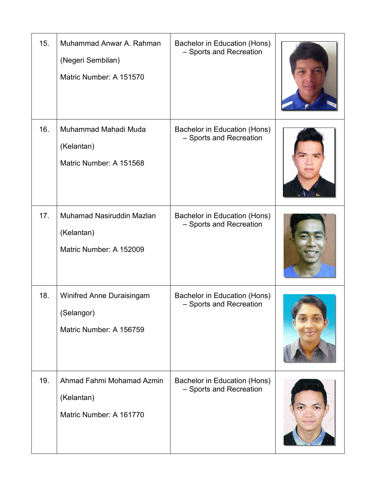| 15. | Muhammad Anwar A. Rahman<br>(Negeri Sembilan)<br>Matric Number: A 151570  | Bachelor in Education (Hons)<br>- Sports and Recreation |  |
|-----|---------------------------------------------------------------------------|---------------------------------------------------------|--|
| 16. | Muhammad Mahadi Muda<br>(Kelantan)<br>Matric Number: A 151568             | Bachelor in Education (Hons)<br>- Sports and Recreation |  |
| 17. | Muhamad Nasiruddin Mazlan<br>(Kelantan)<br>Matric Number: A 152009        | Bachelor in Education (Hons)<br>- Sports and Recreation |  |
| 18. | <b>Winifred Anne Duraisingam</b><br>(Selangor)<br>Matric Number: A 156759 | Bachelor in Education (Hons)<br>- Sports and Recreation |  |
| 19. | Ahmad Fahmi Mohamad Azmin<br>(Kelantan)<br>Matric Number: A 161770        | Bachelor in Education (Hons)<br>- Sports and Recreation |  |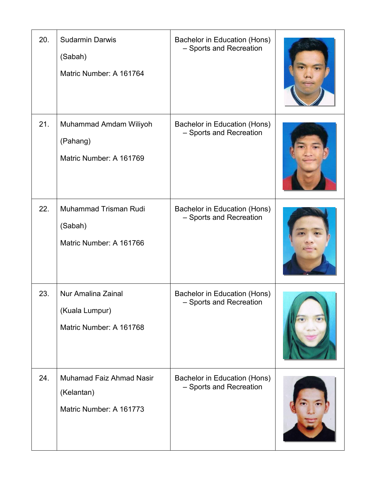| 20. | <b>Sudarmin Darwis</b><br>(Sabah)<br>Matric Number: A 161764             | Bachelor in Education (Hons)<br>- Sports and Recreation |  |
|-----|--------------------------------------------------------------------------|---------------------------------------------------------|--|
| 21. | Muhammad Amdam Wiliyoh<br>(Pahang)<br>Matric Number: A 161769            | Bachelor in Education (Hons)<br>- Sports and Recreation |  |
| 22. | Muhammad Trisman Rudi<br>(Sabah)<br>Matric Number: A 161766              | Bachelor in Education (Hons)<br>- Sports and Recreation |  |
| 23. | Nur Amalina Zainal<br>(Kuala Lumpur)<br>Matric Number: A 161768          | Bachelor in Education (Hons)<br>- Sports and Recreation |  |
| 24. | <b>Muhamad Faiz Ahmad Nasir</b><br>(Kelantan)<br>Matric Number: A 161773 | Bachelor in Education (Hons)<br>- Sports and Recreation |  |